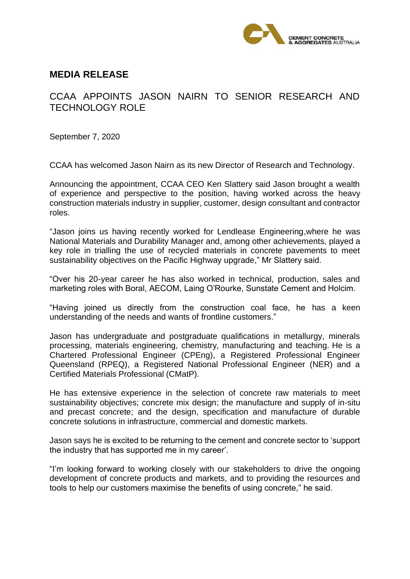

## **MEDIA RELEASE**

## CCAA APPOINTS JASON NAIRN TO SENIOR RESEARCH AND TECHNOLOGY ROLE

September 7, 2020

CCAA has welcomed Jason Nairn as its new Director of Research and Technology.

Announcing the appointment, CCAA CEO Ken Slattery said Jason brought a wealth of experience and perspective to the position, having worked across the heavy construction materials industry in supplier, customer, design consultant and contractor roles.

"Jason joins us having recently worked for Lendlease Engineering,where he was National Materials and Durability Manager and, among other achievements, played a key role in trialling the use of recycled materials in concrete pavements to meet sustainability objectives on the Pacific Highway upgrade," Mr Slattery said.

"Over his 20-year career he has also worked in technical, production, sales and marketing roles with Boral, AECOM, Laing O'Rourke, Sunstate Cement and Holcim.

"Having joined us directly from the construction coal face, he has a keen understanding of the needs and wants of frontline customers."

Jason has undergraduate and postgraduate qualifications in metallurgy, minerals processing, materials engineering, chemistry, manufacturing and teaching. He is a Chartered Professional Engineer (CPEng), a Registered Professional Engineer Queensland (RPEQ), a Registered National Professional Engineer (NER) and a Certified Materials Professional (CMatP).

He has extensive experience in the selection of concrete raw materials to meet sustainability objectives; concrete mix design; the manufacture and supply of in-situ and precast concrete; and the design, specification and manufacture of durable concrete solutions in infrastructure, commercial and domestic markets.

Jason says he is excited to be returning to the cement and concrete sector to 'support the industry that has supported me in my career'.

"I'm looking forward to working closely with our stakeholders to drive the ongoing development of concrete products and markets, and to providing the resources and tools to help our customers maximise the benefits of using concrete," he said.